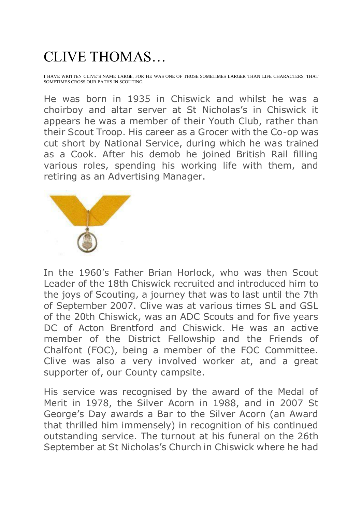## CLIVE THOMAS…

I HAVE WRITTEN CLIVE'S NAME LARGE, FOR HE WAS ONE OF THOSE SOMETIMES LARGER THAN LIFE CHARACTERS, THAT SOMETIMES CROSS OUR PATHS IN SCOUTING.

He was born in 1935 in Chiswick and whilst he was a choirboy and altar server at St Nicholas's in Chiswick it appears he was a member of their Youth Club, rather than their Scout Troop. His career as a Grocer with the Co-op was cut short by National Service, during which he was trained as a Cook. After his demob he joined British Rail filling various roles, spending his working life with them, and retiring as an Advertising Manager.



In the 1960's Father Brian Horlock, who was then Scout Leader of the 18th Chiswick recruited and introduced him to the joys of Scouting, a journey that was to last until the 7th of September 2007. Clive was at various times SL and GSL of the 20th Chiswick, was an ADC Scouts and for five years DC of Acton Brentford and Chiswick. He was an active member of the District Fellowship and the Friends of Chalfont (FOC), being a member of the FOC Committee. Clive was also a very involved worker at, and a great supporter of, our County campsite.

His service was recognised by the award of the Medal of Merit in 1978, the Silver Acorn in 1988, and in 2007 St George's Day awards a Bar to the Silver Acorn (an Award that thrilled him immensely) in recognition of his continued outstanding service. The turnout at his funeral on the 26th September at St Nicholas's Church in Chiswick where he had